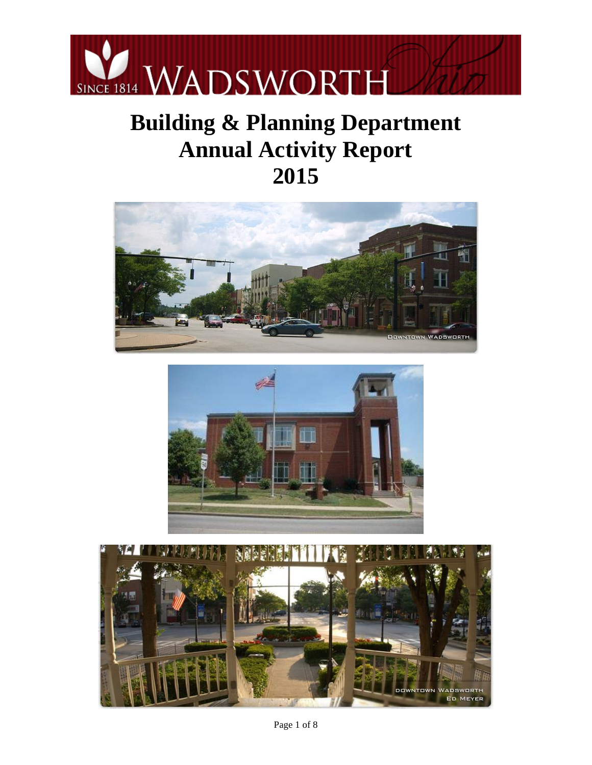

# **Building & Planning Department Annual Activity Report 2015**





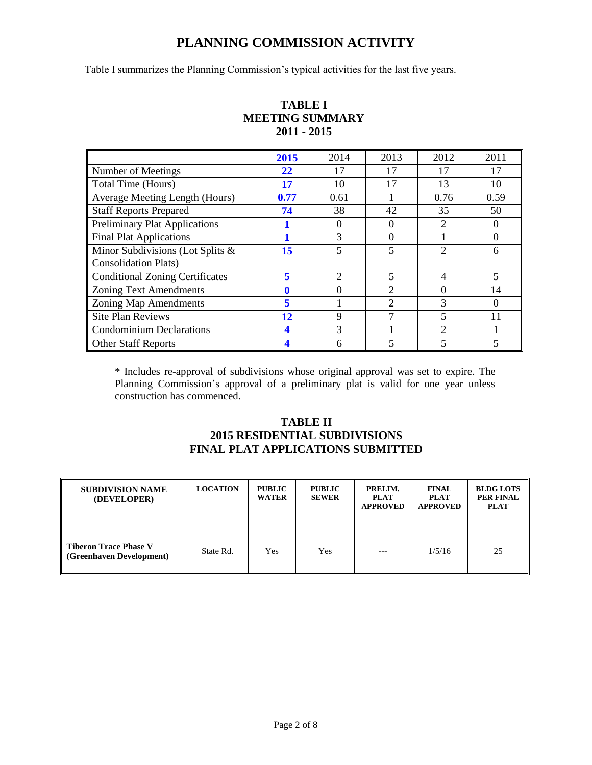## **PLANNING COMMISSION ACTIVITY**

Table I summarizes the Planning Commission's typical activities for the last five years.

|                                        | 2015 | 2014             | 2013           | 2012           | 2011     |
|----------------------------------------|------|------------------|----------------|----------------|----------|
| Number of Meetings                     | 22   | 17               | 17             | 17             | 17       |
| Total Time (Hours)                     | 17   | 10               | 17             | 13             | 10       |
| Average Meeting Length (Hours)         | 0.77 | 0.61             |                | 0.76           | 0.59     |
| <b>Staff Reports Prepared</b>          | 74   | 38               | 42             | 35             | 50       |
| <b>Preliminary Plat Applications</b>   |      | $\left( \right)$ | 0              | 2              | $\Omega$ |
| <b>Final Plat Applications</b>         |      | 3                | 0              |                | $\Omega$ |
| Minor Subdivisions (Lot Splits &       | 15   |                  | 5              | 2              | 6        |
| <b>Consolidation Plats</b> )           |      |                  |                |                |          |
| <b>Conditional Zoning Certificates</b> | 5    | $\mathfrak{D}$   | 5              | $\overline{4}$ | 5        |
| <b>Zoning Text Amendments</b>          |      |                  | 2              |                | 14       |
| <b>Zoning Map Amendments</b>           | 5    |                  | $\mathfrak{D}$ | 3              | $\Omega$ |
| <b>Site Plan Reviews</b>               | 12   | 9                |                |                |          |
| <b>Condominium Declarations</b>        |      | 3                |                | 2              |          |
| <b>Other Staff Reports</b>             |      | 6                | 5              |                |          |

#### **TABLE I MEETING SUMMARY 2011 - 2015**

\* Includes re-approval of subdivisions whose original approval was set to expire. The Planning Commission's approval of a preliminary plat is valid for one year unless construction has commenced.

## **TABLE II 2015 RESIDENTIAL SUBDIVISIONS FINAL PLAT APPLICATIONS SUBMITTED**

| <b>SUBDIVISION NAME</b><br>(DEVELOPER)                   | <b>LOCATION</b> | <b>PUBLIC</b><br><b>WATER</b> | <b>PUBLIC</b><br><b>SEWER</b> | PRELIM.<br><b>PLAT</b><br><b>APPROVED</b> | <b>FINAL</b><br><b>PLAT</b><br><b>APPROVED</b> | <b>BLDG LOTS</b><br><b>PER FINAL</b><br><b>PLAT</b> |
|----------------------------------------------------------|-----------------|-------------------------------|-------------------------------|-------------------------------------------|------------------------------------------------|-----------------------------------------------------|
| <b>Tiberon Trace Phase V</b><br>(Greenhaven Development) | State Rd.       | Yes                           | Yes                           | $---$                                     | 1/5/16                                         | 25                                                  |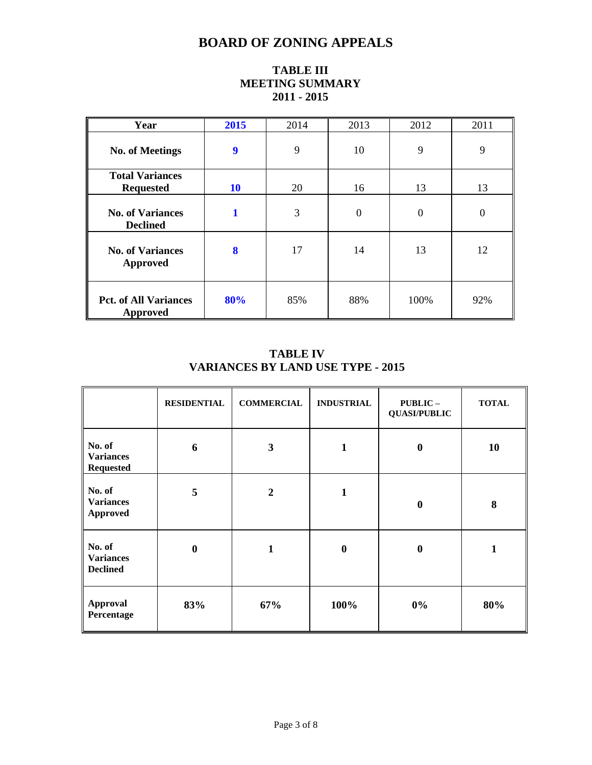# **BOARD OF ZONING APPEALS**

| Year                                       | 2015 | 2014 | 2013     | 2012           | 2011     |
|--------------------------------------------|------|------|----------|----------------|----------|
| <b>No. of Meetings</b>                     | 9    | 9    | 10       | 9              | 9        |
| <b>Total Variances</b><br><b>Requested</b> | 10   | 20   | 16       | 13             | 13       |
| <b>No. of Variances</b><br><b>Declined</b> | 1    | 3    | $\Omega$ | $\overline{0}$ | $\Omega$ |
| <b>No. of Variances</b><br>Approved        | 8    | 17   | 14       | 13             | 12       |
| <b>Pct. of All Variances</b><br>Approved   | 80%  | 85%  | 88%      | 100%           | 92%      |

## **TABLE III MEETING SUMMARY 2011 - 2015**

## **TABLE IV VARIANCES BY LAND USE TYPE - 2015**

|                                                | <b>RESIDENTIAL</b> | <b>COMMERCIAL</b> | <b>INDUSTRIAL</b> | PUBLIC-<br><b>QUASI/PUBLIC</b> | <b>TOTAL</b> |
|------------------------------------------------|--------------------|-------------------|-------------------|--------------------------------|--------------|
| No. of<br><b>Variances</b><br><b>Requested</b> | 6                  | 3                 | $\mathbf{1}$      | $\boldsymbol{0}$               | 10           |
| No. of<br><b>Variances</b><br><b>Approved</b>  | 5                  | $\overline{2}$    | 1                 | $\boldsymbol{0}$               | 8            |
| No. of<br><b>Variances</b><br><b>Declined</b>  | $\bf{0}$           | $\mathbf{1}$      | $\bf{0}$          | $\bf{0}$                       | 1            |
| Approval<br>Percentage                         | 83%                | 67%               | 100%              | $0\%$                          | 80%          |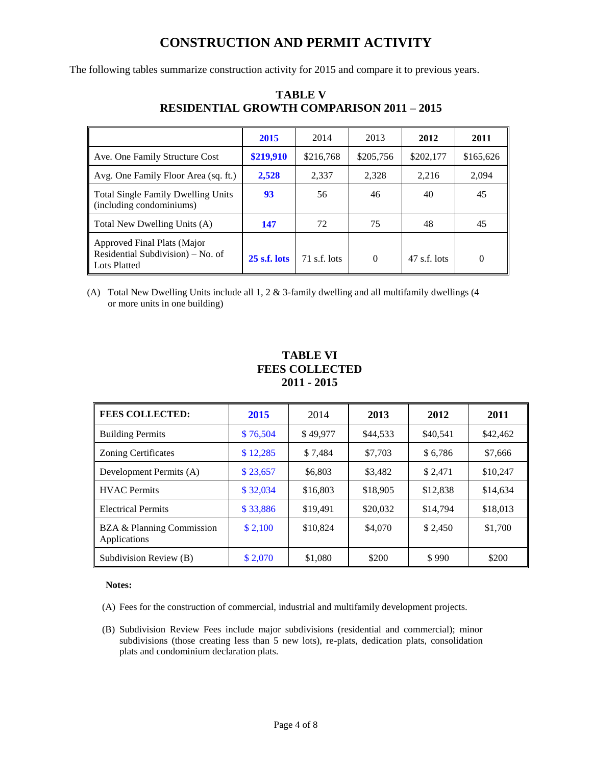# **CONSTRUCTION AND PERMIT ACTIVITY**

The following tables summarize construction activity for 2015 and compare it to previous years.

|                                                                                  | 2015           | 2014         | 2013      | 2012           | 2011      |
|----------------------------------------------------------------------------------|----------------|--------------|-----------|----------------|-----------|
| Ave. One Family Structure Cost                                                   | \$219,910      | \$216,768    | \$205,756 | \$202,177      | \$165,626 |
| Avg. One Family Floor Area (sq. ft.)                                             | 2,528          | 2,337        | 2,328     | 2,216          | 2,094     |
| <b>Total Single Family Dwelling Units</b><br>(including condominiums)            | 93             | 56           | 46        | 40             | 45        |
| Total New Dwelling Units (A)                                                     | 147            | 72           | 75        | 48             | 45        |
| Approved Final Plats (Major<br>Residential Subdivision) – No. of<br>Lots Platted | $25$ s.f. lots | 71 s.f. lots | $\Omega$  | $47$ s.f. lots | $\theta$  |

## **TABLE V RESIDENTIAL GROWTH COMPARISON 2011 – 2015**

(A) Total New Dwelling Units include all 1, 2 & 3-family dwelling and all multifamily dwellings (4 or more units in one building)

### **TABLE VI FEES COLLECTED 2011 - 2015**

| <b>FEES COLLECTED:</b>                    | 2015     | 2014     | 2013     | 2012     | 2011     |
|-------------------------------------------|----------|----------|----------|----------|----------|
| <b>Building Permits</b>                   | \$76,504 | \$49,977 | \$44,533 | \$40,541 | \$42,462 |
| <b>Zoning Certificates</b>                | \$12,285 | \$7.484  | \$7,703  | \$6.786  | \$7,666  |
| Development Permits (A)                   | \$23,657 | \$6,803  | \$3.482  | \$2.471  | \$10,247 |
| <b>HVAC</b> Permits                       | \$32,034 | \$16,803 | \$18,905 | \$12,838 | \$14,634 |
| <b>Electrical Permits</b>                 | \$33,886 | \$19,491 | \$20,032 | \$14,794 | \$18,013 |
| BZA & Planning Commission<br>Applications | \$2,100  | \$10,824 | \$4,070  | \$2,450  | \$1,700  |
| Subdivision Review (B)                    | \$2,070  | \$1,080  | \$200    | \$990    | \$200    |

#### **Notes:**

(A) Fees for the construction of commercial, industrial and multifamily development projects.

(B) Subdivision Review Fees include major subdivisions (residential and commercial); minor subdivisions (those creating less than 5 new lots), re-plats, dedication plats, consolidation plats and condominium declaration plats.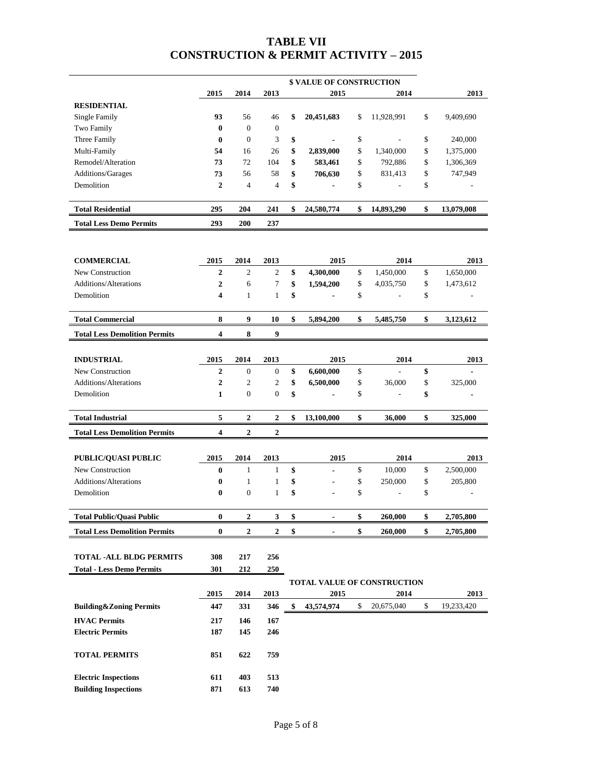## **TABLE VII CONSTRUCTION & PERMIT ACTIVITY – 2015**

|                                      | <b>\$ VALUE OF CONSTRUCTION</b> |                  |                |    |                                    |    |                |    |            |
|--------------------------------------|---------------------------------|------------------|----------------|----|------------------------------------|----|----------------|----|------------|
|                                      | 2015                            | 2014             | 2013           |    | 2015                               |    | 2014           |    | 2013       |
| <b>RESIDENTIAL</b>                   |                                 |                  |                |    |                                    |    |                |    |            |
| <b>Single Family</b>                 | 93                              | 56               | 46             | \$ | 20,451,683                         | \$ | 11,928,991     | \$ | 9,409,690  |
| Two Family                           | $\bf{0}$                        | $\mathbf{0}$     | $\mathbf{0}$   |    |                                    |    |                |    |            |
| Three Family                         | $\bf{0}$                        | $\mathbf{0}$     | 3              | \$ | $\blacksquare$                     | \$ | ÷,             | \$ | 240,000    |
| Multi-Family                         | 54                              | 16               | 26             | \$ | 2,839,000                          | \$ | 1,340,000      | \$ | 1,375,000  |
| Remodel/Alteration                   | 73                              | 72               | 104            | \$ | 583,461                            | \$ | 792,886        | \$ | 1,306,369  |
| Additions/Garages                    | 73                              | 56               | 58             | \$ | 706,630                            | \$ | 831,413        | \$ | 747,949    |
| Demolition                           | $\mathbf{2}$                    | $\overline{4}$   | $\overline{4}$ | \$ | $\blacksquare$                     | \$ | $\overline{a}$ | \$ |            |
| <b>Total Residential</b>             | 295                             | 204              | 241            | \$ | 24,580,774                         | \$ | 14,893,290     | \$ | 13,079,008 |
| <b>Total Less Demo Permits</b>       | 293                             | 200              | 237            |    |                                    |    |                |    |            |
|                                      |                                 |                  |                |    |                                    |    |                |    |            |
|                                      |                                 |                  |                |    |                                    |    |                |    |            |
| <b>COMMERCIAL</b>                    | 2015                            | 2014             | 2013           |    | 2015                               |    | 2014           |    | 2013       |
| New Construction                     | $\overline{2}$                  | $\mathbf{2}$     | $\overline{c}$ | \$ | 4,300,000                          | \$ | 1,450,000      | \$ | 1,650,000  |
| Additions/Alterations                | $\overline{2}$                  | 6                | 7              | \$ | 1,594,200                          | \$ | 4,035,750      | \$ | 1,473,612  |
| Demolition                           | $\overline{\mathbf{4}}$         | $\mathbf{1}$     | $\mathbf{1}$   | \$ | $\overline{\phantom{a}}$           | \$ |                | \$ |            |
| <b>Total Commercial</b>              | 8                               | 9                | 10             | \$ | 5,894,200                          | \$ | 5,485,750      | \$ | 3,123,612  |
| <b>Total Less Demolition Permits</b> | $\overline{\mathbf{4}}$         | 8                | 9              |    |                                    |    |                |    |            |
|                                      |                                 |                  |                |    |                                    |    |                |    |            |
| <b>INDUSTRIAL</b>                    | 2015                            | 2014             | 2013           |    | 2015                               |    | 2014           |    | 2013       |
| New Construction                     | $\overline{2}$                  | $\mathbf{0}$     | $\mathbf{0}$   | \$ | 6,600,000                          | \$ | $\overline{a}$ | \$ |            |
| <b>Additions/Alterations</b>         | $\overline{2}$                  | $\mathfrak{2}$   | $\mathfrak{2}$ | \$ | 6,500,000                          | \$ | 36,000         | \$ | 325,000    |
| Demolition                           | $\mathbf{1}$                    | $\mathbf{0}$     | $\overline{0}$ | \$ |                                    | \$ |                | \$ |            |
|                                      | 5                               |                  |                | \$ |                                    |    |                |    |            |
| <b>Total Industrial</b>              |                                 | $\overline{2}$   | $\overline{2}$ |    | 13,100,000                         | \$ | 36,000         | \$ | 325,000    |
| <b>Total Less Demolition Permits</b> | $\overline{\mathbf{4}}$         | $\boldsymbol{2}$ | 2              |    |                                    |    |                |    |            |
| PUBLIC/QUASI PUBLIC                  | 2015                            | 2014             | 2013           |    | 2015                               |    | 2014           |    | 2013       |
| New Construction                     | $\bf{0}$                        | $\mathbf{1}$     | $\mathbf{1}$   | \$ | $\overline{a}$                     | \$ | 10,000         | \$ | 2,500,000  |
| Additions/Alterations                | $\bf{0}$                        | $\mathbf{1}$     | $\mathbf{1}$   | \$ | $\overline{\phantom{a}}$           | \$ | 250,000        | \$ | 205,800    |
| Demolition                           | $\bf{0}$                        | $\mathbf{0}$     | $\mathbf{1}$   | \$ |                                    | \$ | ÷,             | \$ |            |
|                                      |                                 |                  |                |    |                                    |    |                |    |            |
| <b>Total Public/Quasi Public</b>     | $\bf{0}$                        | $\boldsymbol{2}$ | 3              | \$ | $\blacksquare$                     | \$ | 260,000        | \$ | 2,705,800  |
| <b>Total Less Demolition Permits</b> | 0                               | $\boldsymbol{2}$ | 2              | \$ | $\blacksquare$                     | \$ | 260,000        | \$ | 2,705,800  |
| <b>TOTAL -ALL BLDG PERMITS</b>       | 308                             | 217              | 256            |    |                                    |    |                |    |            |
| <b>Total - Less Demo Permits</b>     | 301                             | 212              | 250            |    |                                    |    |                |    |            |
|                                      |                                 |                  |                |    |                                    |    |                |    |            |
|                                      |                                 |                  |                |    | <b>TOTAL VALUE OF CONSTRUCTION</b> |    |                |    |            |
|                                      | 2015                            | 2014             | 2013           |    | 2015                               |    | 2014           |    | 2013       |
| <b>Building&amp;Zoning Permits</b>   | 447                             | 331              | 346            | \$ | 43,574,974                         | \$ | 20,675,040     | \$ | 19,233,420 |
| <b>HVAC Permits</b>                  | 217                             | 146              | 167            |    |                                    |    |                |    |            |
| <b>Electric Permits</b>              | 187                             | 145              | 246            |    |                                    |    |                |    |            |
| <b>TOTAL PERMITS</b>                 | 851                             | 622              | 759            |    |                                    |    |                |    |            |
|                                      |                                 |                  |                |    |                                    |    |                |    |            |
| <b>Electric Inspections</b>          | 611                             | 403              | 513            |    |                                    |    |                |    |            |
| <b>Building Inspections</b>          | 871                             | 613              | 740            |    |                                    |    |                |    |            |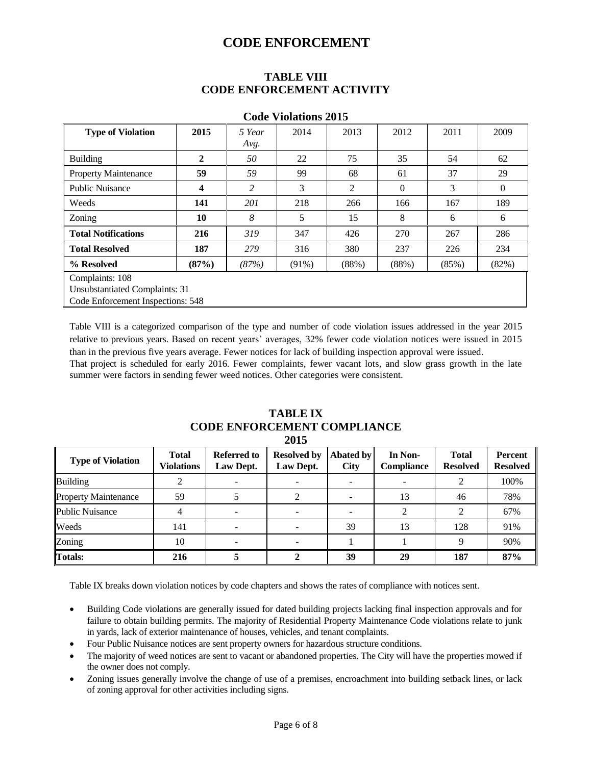## **CODE ENFORCEMENT**

#### **TABLE VIII CODE ENFORCEMENT ACTIVITY**

| vvuv<br>$\bf{10141}$           |                                   |        |          |       |              |       |                |  |  |
|--------------------------------|-----------------------------------|--------|----------|-------|--------------|-------|----------------|--|--|
| <b>Type of Violation</b>       | 2015                              | 5 Year | 2014     | 2013  | 2012         | 2011  | 2009           |  |  |
|                                |                                   | Avg.   |          |       |              |       |                |  |  |
| <b>Building</b>                | $\overline{2}$                    | 50     | 22       | 75    | 35           | 54    | 62             |  |  |
| <b>Property Maintenance</b>    | 59                                | 59     | 99       | 68    | 61           | 37    | 29             |  |  |
| <b>Public Nuisance</b>         | 4                                 | 2      | 3        | 2     | $\mathbf{0}$ | 3     | $\overline{0}$ |  |  |
| Weeds                          | 141                               | 201    | 218      | 266   | 166          | 167   | 189            |  |  |
| Zoning                         | 10                                | 8      | 5        | 15    | 8            | 6     | 6              |  |  |
| <b>Total Notifications</b>     | 216                               | 319    | 347      | 426   | 270          | 267   | 286            |  |  |
| <b>Total Resolved</b>          | 187                               | 279    | 316      | 380   | 237          | 226   | 234            |  |  |
| % Resolved                     | (87%)                             | (87%)  | $(91\%)$ | (88%) | (88%)        | (85%) | (82%)          |  |  |
| Complaints: 108                |                                   |        |          |       |              |       |                |  |  |
| Unsubstantiated Complaints: 31 |                                   |        |          |       |              |       |                |  |  |
|                                | Code Enforcement Inspections: 548 |        |          |       |              |       |                |  |  |

#### **Code Violations 2015**

Table VIII is a categorized comparison of the type and number of code violation issues addressed in the year 2015 relative to previous years. Based on recent years' averages, 32% fewer code violation notices were issued in 2015 than in the previous five years average. Fewer notices for lack of building inspection approval were issued.

That project is scheduled for early 2016. Fewer complaints, fewer vacant lots, and slow grass growth in the late summer were factors in sending fewer weed notices. Other categories were consistent.

|                             |                            |                                 | 2012                            |                                 |                              |                                 |                                   |
|-----------------------------|----------------------------|---------------------------------|---------------------------------|---------------------------------|------------------------------|---------------------------------|-----------------------------------|
| <b>Type of Violation</b>    | <b>Total</b><br>Violations | <b>Referred to</b><br>Law Dept. | <b>Resolved by</b><br>Law Dept. | <b>Abated by</b><br><b>City</b> | In Non-<br><b>Compliance</b> | <b>Total</b><br><b>Resolved</b> | <b>Percent</b><br><b>Resolved</b> |
| <b>Building</b>             |                            |                                 |                                 |                                 |                              |                                 | 100%                              |
| <b>Property Maintenance</b> | 59                         |                                 |                                 |                                 | 13                           | 46                              | 78%                               |
| Public Nuisance             |                            |                                 |                                 |                                 |                              |                                 | 67%                               |
| Weeds                       | 141                        |                                 |                                 | 39                              | 13                           | 128                             | 91%                               |
| Zoning                      | 10                         |                                 |                                 |                                 |                              |                                 | 90%                               |
| <b>Totals:</b>              | 216                        |                                 |                                 | 39                              | 29                           | 187                             | 87%                               |

#### **TABLE IX CODE ENFORCEMENT COMPLIANCE 2015**

Table IX breaks down violation notices by code chapters and shows the rates of compliance with notices sent.

- Building Code violations are generally issued for dated building projects lacking final inspection approvals and for failure to obtain building permits. The majority of Residential Property Maintenance Code violations relate to junk in yards, lack of exterior maintenance of houses, vehicles, and tenant complaints.
- Four Public Nuisance notices are sent property owners for hazardous structure conditions.
- The majority of weed notices are sent to vacant or abandoned properties. The City will have the properties mowed if the owner does not comply.
- Zoning issues generally involve the change of use of a premises, encroachment into building setback lines, or lack of zoning approval for other activities including signs.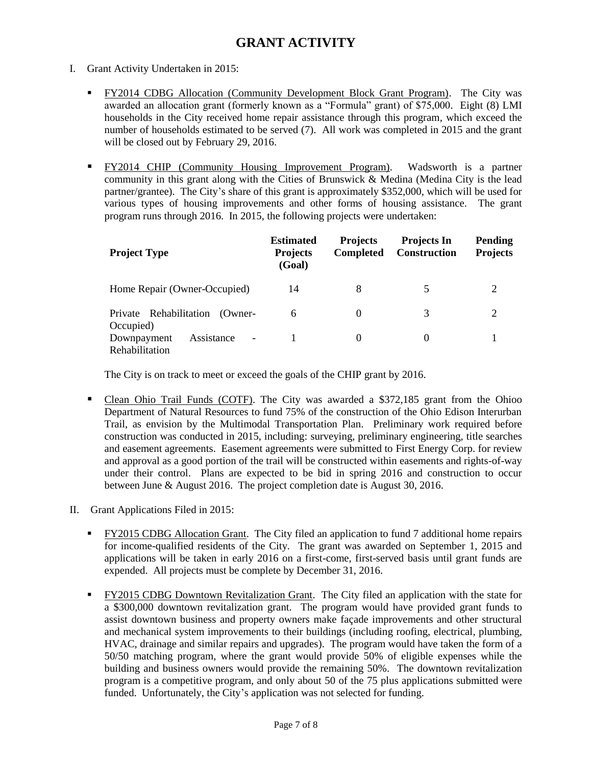# **GRANT ACTIVITY**

- I. Grant Activity Undertaken in 2015:
	- **FY2014 CDBG Allocation (Community Development Block Grant Program).** The City was awarded an allocation grant (formerly known as a "Formula" grant) of \$75,000. Eight (8) LMI households in the City received home repair assistance through this program, which exceed the number of households estimated to be served (7). All work was completed in 2015 and the grant will be closed out by February 29, 2016.
	- FY2014 CHIP (Community Housing Improvement Program). Wadsworth is a partner community in this grant along with the Cities of Brunswick & Medina (Medina City is the lead partner/grantee). The City's share of this grant is approximately \$352,000, which will be used for various types of housing improvements and other forms of housing assistance. The grant program runs through 2016. In 2015, the following projects were undertaken:

| <b>Project Type</b>                                                     | <b>Estimated</b><br><b>Projects</b><br>(Goal) | <b>Projects</b><br><b>Completed</b> | <b>Projects In</b><br><b>Construction</b> | <b>Pending</b><br><b>Projects</b> |
|-------------------------------------------------------------------------|-----------------------------------------------|-------------------------------------|-------------------------------------------|-----------------------------------|
| Home Repair (Owner-Occupied)                                            | 14                                            | 8                                   | 5                                         |                                   |
| Private Rehabilitation<br>(Owner-<br>Occupied)                          | 6                                             | $\Omega$                            | 3                                         | 2                                 |
| Assistance<br>Downpayment<br>$\overline{\phantom{a}}$<br>Rehabilitation |                                               | $\Omega$                            | $\Omega$                                  |                                   |

The City is on track to meet or exceed the goals of the CHIP grant by 2016.

- Clean Ohio Trail Funds (COTF). The City was awarded a \$372,185 grant from the Ohioo Department of Natural Resources to fund 75% of the construction of the Ohio Edison Interurban Trail, as envision by the Multimodal Transportation Plan. Preliminary work required before construction was conducted in 2015, including: surveying, preliminary engineering, title searches and easement agreements. Easement agreements were submitted to First Energy Corp. for review and approval as a good portion of the trail will be constructed within easements and rights-of-way under their control. Plans are expected to be bid in spring 2016 and construction to occur between June & August 2016. The project completion date is August 30, 2016.
- II. Grant Applications Filed in 2015:
	- FY2015 CDBG Allocation Grant. The City filed an application to fund 7 additional home repairs for income-qualified residents of the City. The grant was awarded on September 1, 2015 and applications will be taken in early 2016 on a first-come, first-served basis until grant funds are expended. All projects must be complete by December 31, 2016.
	- FY2015 CDBG Downtown Revitalization Grant. The City filed an application with the state for a \$300,000 downtown revitalization grant. The program would have provided grant funds to assist downtown business and property owners make façade improvements and other structural and mechanical system improvements to their buildings (including roofing, electrical, plumbing, HVAC, drainage and similar repairs and upgrades). The program would have taken the form of a 50/50 matching program, where the grant would provide 50% of eligible expenses while the building and business owners would provide the remaining 50%. The downtown revitalization program is a competitive program, and only about 50 of the 75 plus applications submitted were funded. Unfortunately, the City's application was not selected for funding.